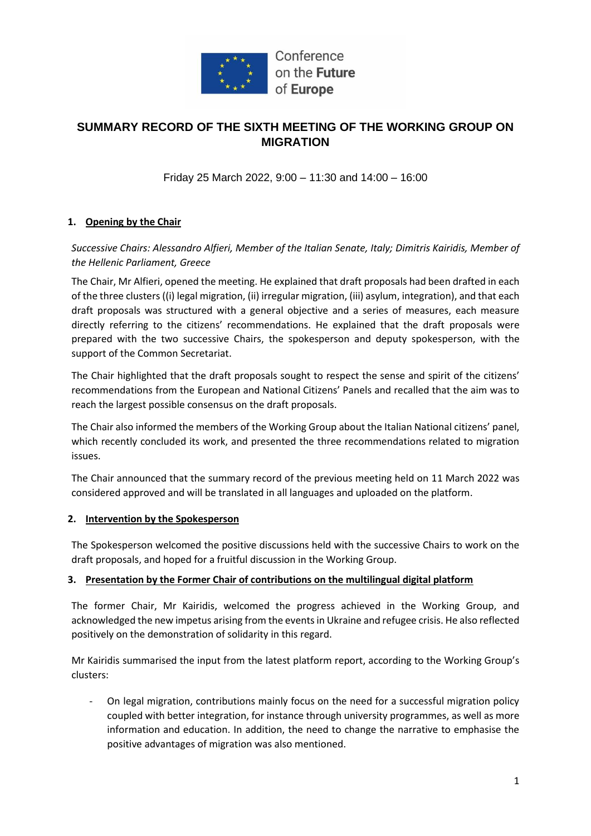

# **SUMMARY RECORD OF THE SIXTH MEETING OF THE WORKING GROUP ON MIGRATION**

Friday 25 March 2022, 9:00 – 11:30 and 14:00 – 16:00

#### **1. Opening by the Chair**

*Successive Chairs: Alessandro Alfieri, Member of the Italian Senate, Italy; Dimitris Kairidis, Member of the Hellenic Parliament, Greece*

The Chair, Mr Alfieri, opened the meeting. He explained that draft proposals had been drafted in each of the three clusters ((i) legal migration, (ii) irregular migration, (iii) asylum, integration), and that each draft proposals was structured with a general objective and a series of measures, each measure directly referring to the citizens' recommendations. He explained that the draft proposals were prepared with the two successive Chairs, the spokesperson and deputy spokesperson, with the support of the Common Secretariat.

The Chair highlighted that the draft proposals sought to respect the sense and spirit of the citizens' recommendations from the European and National Citizens' Panels and recalled that the aim was to reach the largest possible consensus on the draft proposals.

The Chair also informed the members of the Working Group about the Italian National citizens' panel, which recently concluded its work, and presented the three recommendations related to migration issues.

The Chair announced that the summary record of the previous meeting held on 11 March 2022 was considered approved and will be translated in all languages and uploaded on the platform.

#### **2. Intervention by the Spokesperson**

The Spokesperson welcomed the positive discussions held with the successive Chairs to work on the draft proposals, and hoped for a fruitful discussion in the Working Group.

#### **3. Presentation by the Former Chair of contributions on the multilingual digital platform**

The former Chair, Mr Kairidis, welcomed the progress achieved in the Working Group, and acknowledged the new impetus arising from the events in Ukraine and refugee crisis. He also reflected positively on the demonstration of solidarity in this regard.

Mr Kairidis summarised the input from the latest platform report, according to the Working Group's clusters:

- On legal migration, contributions mainly focus on the need for a successful migration policy coupled with better integration, for instance through university programmes, as well as more information and education. In addition, the need to change the narrative to emphasise the positive advantages of migration was also mentioned.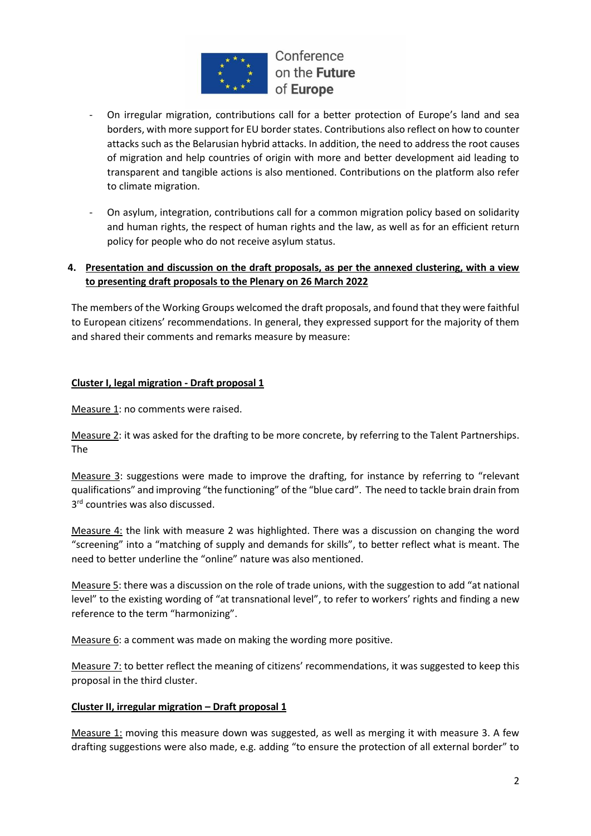

- On irregular migration, contributions call for a better protection of Europe's land and sea borders, with more support for EU border states. Contributions also reflect on how to counter attacks such as the Belarusian hybrid attacks. In addition, the need to address the root causes of migration and help countries of origin with more and better development aid leading to transparent and tangible actions is also mentioned. Contributions on the platform also refer to climate migration.
- On asylum, integration, contributions call for a common migration policy based on solidarity and human rights, the respect of human rights and the law, as well as for an efficient return policy for people who do not receive asylum status.

#### **4. Presentation and discussion on the draft proposals, as per the annexed clustering, with a view to presenting draft proposals to the Plenary on 26 March 2022**

The members of the Working Groups welcomed the draft proposals, and found that they were faithful to European citizens' recommendations. In general, they expressed support for the majority of them and shared their comments and remarks measure by measure:

### **Cluster I, legal migration - Draft proposal 1**

Measure 1: no comments were raised.

Measure 2: it was asked for the drafting to be more concrete, by referring to the Talent Partnerships. The

Measure 3: suggestions were made to improve the drafting, for instance by referring to "relevant qualifications" and improving "the functioning" of the "blue card". The need to tackle brain drain from 3<sup>rd</sup> countries was also discussed.

Measure 4: the link with measure 2 was highlighted. There was a discussion on changing the word "screening" into a "matching of supply and demands for skills", to better reflect what is meant. The need to better underline the "online" nature was also mentioned.

Measure 5: there was a discussion on the role of trade unions, with the suggestion to add "at national level" to the existing wording of "at transnational level", to refer to workers' rights and finding a new reference to the term "harmonizing".

Measure 6: a comment was made on making the wording more positive.

Measure 7: to better reflect the meaning of citizens' recommendations, it was suggested to keep this proposal in the third cluster.

#### **Cluster II, irregular migration – Draft proposal 1**

Measure 1: moving this measure down was suggested, as well as merging it with measure 3. A few drafting suggestions were also made, e.g. adding "to ensure the protection of all external border" to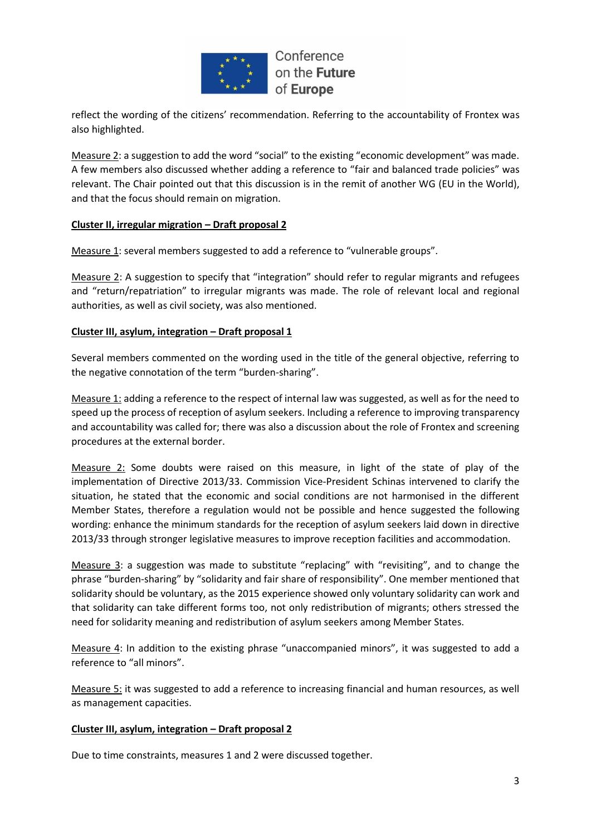

reflect the wording of the citizens' recommendation. Referring to the accountability of Frontex was also highlighted.

Measure 2: a suggestion to add the word "social" to the existing "economic development" was made. A few members also discussed whether adding a reference to "fair and balanced trade policies" was relevant. The Chair pointed out that this discussion is in the remit of another WG (EU in the World), and that the focus should remain on migration.

#### **Cluster II, irregular migration – Draft proposal 2**

Measure 1: several members suggested to add a reference to "vulnerable groups".

Measure 2: A suggestion to specify that "integration" should refer to regular migrants and refugees and "return/repatriation" to irregular migrants was made. The role of relevant local and regional authorities, as well as civil society, was also mentioned.

#### **Cluster III, asylum, integration – Draft proposal 1**

Several members commented on the wording used in the title of the general objective, referring to the negative connotation of the term "burden-sharing".

Measure 1: adding a reference to the respect of internal law was suggested, as well as for the need to speed up the process of reception of asylum seekers. Including a reference to improving transparency and accountability was called for; there was also a discussion about the role of Frontex and screening procedures at the external border.

Measure 2: Some doubts were raised on this measure, in light of the state of play of the implementation of Directive 2013/33. Commission Vice-President Schinas intervened to clarify the situation, he stated that the economic and social conditions are not harmonised in the different Member States, therefore a regulation would not be possible and hence suggested the following wording: enhance the minimum standards for the reception of asylum seekers laid down in directive 2013/33 through stronger legislative measures to improve reception facilities and accommodation.

Measure 3: a suggestion was made to substitute "replacing" with "revisiting", and to change the phrase "burden-sharing" by "solidarity and fair share of responsibility". One member mentioned that solidarity should be voluntary, as the 2015 experience showed only voluntary solidarity can work and that solidarity can take different forms too, not only redistribution of migrants; others stressed the need for solidarity meaning and redistribution of asylum seekers among Member States.

Measure 4: In addition to the existing phrase "unaccompanied minors", it was suggested to add a reference to "all minors".

Measure 5: it was suggested to add a reference to increasing financial and human resources, as well as management capacities.

#### **Cluster III, asylum, integration – Draft proposal 2**

Due to time constraints, measures 1 and 2 were discussed together.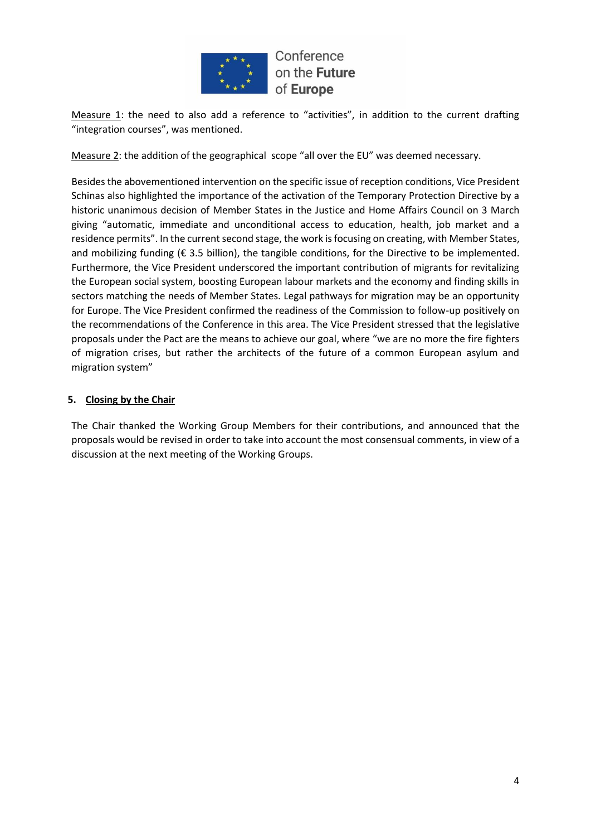

Measure 1: the need to also add a reference to "activities", in addition to the current drafting "integration courses", was mentioned.

Measure 2: the addition of the geographical scope "all over the EU" was deemed necessary.

Besides the abovementioned intervention on the specific issue of reception conditions, Vice President Schinas also highlighted the importance of the activation of the Temporary Protection Directive by a historic unanimous decision of Member States in the Justice and Home Affairs Council on 3 March giving "automatic, immediate and unconditional access to education, health, job market and a residence permits". In the current second stage, the work is focusing on creating, with Member States, and mobilizing funding ( $\epsilon$  3.5 billion), the tangible conditions, for the Directive to be implemented. Furthermore, the Vice President underscored the important contribution of migrants for revitalizing the European social system, boosting European labour markets and the economy and finding skills in sectors matching the needs of Member States. Legal pathways for migration may be an opportunity for Europe. The Vice President confirmed the readiness of the Commission to follow-up positively on the recommendations of the Conference in this area. The Vice President stressed that the legislative proposals under the Pact are the means to achieve our goal, where "we are no more the fire fighters of migration crises, but rather the architects of the future of a common European asylum and migration system"

#### **5. Closing by the Chair**

The Chair thanked the Working Group Members for their contributions, and announced that the proposals would be revised in order to take into account the most consensual comments, in view of a discussion at the next meeting of the Working Groups.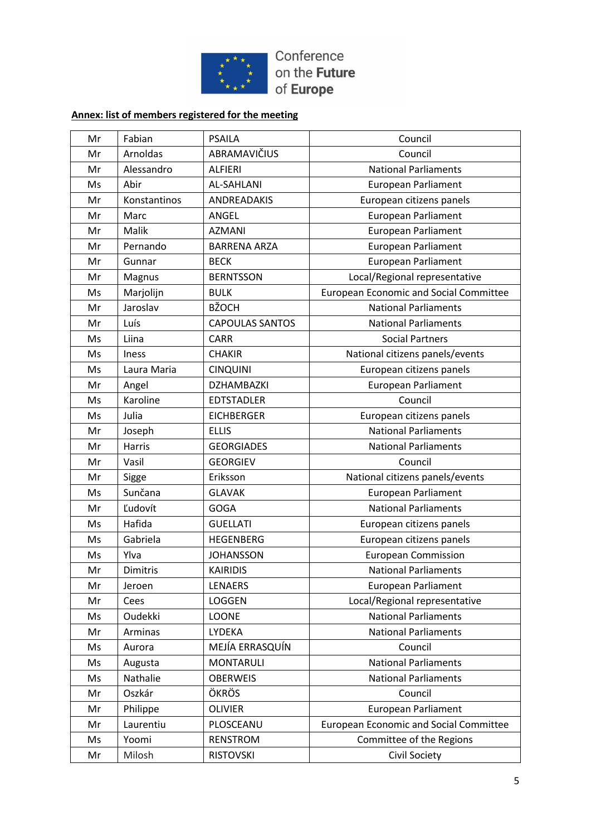

# **Annex: list of members registered for the meeting**

| Mr | Fabian       | <b>PSAILA</b>          | Council                                       |
|----|--------------|------------------------|-----------------------------------------------|
| Mr | Arnoldas     | ABRAMAVIČIUS           | Council                                       |
| Mr | Alessandro   | <b>ALFIERI</b>         | <b>National Parliaments</b>                   |
| Ms | Abir         | <b>AL-SAHLANI</b>      | European Parliament                           |
| Mr | Konstantinos | ANDREADAKIS            | European citizens panels                      |
| Mr | Marc         | ANGEL                  | European Parliament                           |
| Mr | Malik        | <b>AZMANI</b>          | European Parliament                           |
| Mr | Pernando     | <b>BARRENA ARZA</b>    | <b>European Parliament</b>                    |
| Mr | Gunnar       | <b>BECK</b>            | European Parliament                           |
| Mr | Magnus       | <b>BERNTSSON</b>       | Local/Regional representative                 |
| Ms | Marjolijn    | <b>BULK</b>            | <b>European Economic and Social Committee</b> |
| Mr | Jaroslav     | <b>BŽOCH</b>           | <b>National Parliaments</b>                   |
| Mr | Luís         | <b>CAPOULAS SANTOS</b> | <b>National Parliaments</b>                   |
| Ms | Liina        | <b>CARR</b>            | <b>Social Partners</b>                        |
| Ms | <b>Iness</b> | <b>CHAKIR</b>          | National citizens panels/events               |
| Ms | Laura Maria  | <b>CINQUINI</b>        | European citizens panels                      |
| Mr | Angel        | <b>DZHAMBAZKI</b>      | <b>European Parliament</b>                    |
| Ms | Karoline     | <b>EDTSTADLER</b>      | Council                                       |
| Ms | Julia        | <b>EICHBERGER</b>      | European citizens panels                      |
| Mr | Joseph       | <b>ELLIS</b>           | <b>National Parliaments</b>                   |
| Mr | Harris       | <b>GEORGIADES</b>      | <b>National Parliaments</b>                   |
| Mr | Vasil        | <b>GEORGIEV</b>        | Council                                       |
| Mr | Sigge        | Eriksson               | National citizens panels/events               |
| Ms | Sunčana      | <b>GLAVAK</b>          | <b>European Parliament</b>                    |
| Mr | Ľudovít      | <b>GOGA</b>            | <b>National Parliaments</b>                   |
| Ms | Hafida       | <b>GUELLATI</b>        | European citizens panels                      |
| Ms | Gabriela     | <b>HEGENBERG</b>       | European citizens panels                      |
| Ms | Ylva         | <b>JOHANSSON</b>       | <b>European Commission</b>                    |
| Mr | Dimitris     | <b>KAIRIDIS</b>        | <b>National Parliaments</b>                   |
| Mr | Jeroen       | LENAERS                | European Parliament                           |
| Mr | Cees         | LOGGEN                 | Local/Regional representative                 |
| Ms | Oudekki      | <b>LOONE</b>           | <b>National Parliaments</b>                   |
| Mr | Arminas      | LYDEKA                 | <b>National Parliaments</b>                   |
| Ms | Aurora       | MEJÍA ERRASQUÍN        | Council                                       |
| Ms | Augusta      | <b>MONTARULI</b>       | <b>National Parliaments</b>                   |
| Ms | Nathalie     | <b>OBERWEIS</b>        | <b>National Parliaments</b>                   |
| Mr | Oszkár       | ÖKRÖS                  | Council                                       |
| Mr | Philippe     | <b>OLIVIER</b>         | European Parliament                           |
| Mr | Laurentiu    | PLOSCEANU              | <b>European Economic and Social Committee</b> |
| Ms | Yoomi        | <b>RENSTROM</b>        | Committee of the Regions                      |
| Mr | Milosh       | <b>RISTOVSKI</b>       | <b>Civil Society</b>                          |